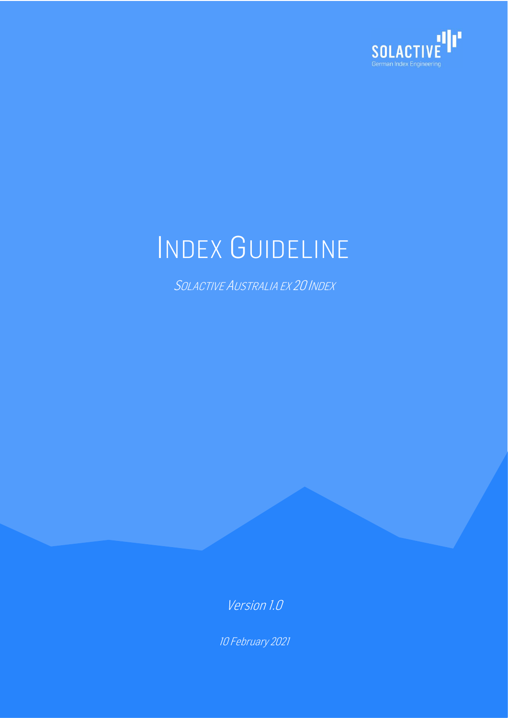

# INDEX GUIDELINE

SOLACTIVE AUSTRALIA EX 20 INDEX

Version 1.0

10 February 2021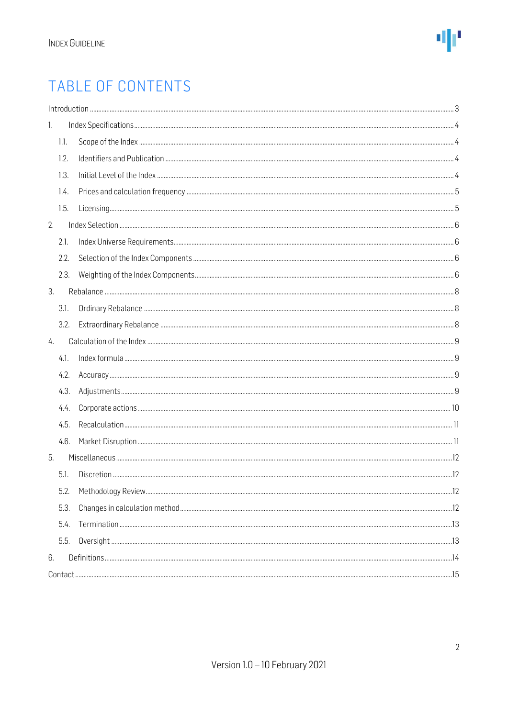### TABLE OF CONTENTS

| 1.1.<br>1.2.<br>1.3.<br>1.4.<br>1.5.<br>2.1.<br>2.2.<br>2.3.<br>3.1.<br>3.2.<br>4.1.<br>4.2.<br>4.3.<br>4.4.<br>4.5.<br>4.6.<br>5.1.<br>5.2.<br>5.3.<br>5.4.<br>5.5. |    |  |  |  |  |
|----------------------------------------------------------------------------------------------------------------------------------------------------------------------|----|--|--|--|--|
|                                                                                                                                                                      | 1. |  |  |  |  |
|                                                                                                                                                                      |    |  |  |  |  |
|                                                                                                                                                                      |    |  |  |  |  |
|                                                                                                                                                                      |    |  |  |  |  |
|                                                                                                                                                                      |    |  |  |  |  |
|                                                                                                                                                                      |    |  |  |  |  |
|                                                                                                                                                                      | 2. |  |  |  |  |
|                                                                                                                                                                      |    |  |  |  |  |
|                                                                                                                                                                      |    |  |  |  |  |
|                                                                                                                                                                      |    |  |  |  |  |
|                                                                                                                                                                      | 3. |  |  |  |  |
|                                                                                                                                                                      |    |  |  |  |  |
|                                                                                                                                                                      |    |  |  |  |  |
|                                                                                                                                                                      | 4. |  |  |  |  |
|                                                                                                                                                                      |    |  |  |  |  |
|                                                                                                                                                                      |    |  |  |  |  |
|                                                                                                                                                                      |    |  |  |  |  |
|                                                                                                                                                                      |    |  |  |  |  |
|                                                                                                                                                                      |    |  |  |  |  |
|                                                                                                                                                                      |    |  |  |  |  |
|                                                                                                                                                                      | 5. |  |  |  |  |
|                                                                                                                                                                      |    |  |  |  |  |
|                                                                                                                                                                      |    |  |  |  |  |
|                                                                                                                                                                      |    |  |  |  |  |
|                                                                                                                                                                      |    |  |  |  |  |
|                                                                                                                                                                      |    |  |  |  |  |
|                                                                                                                                                                      | 6. |  |  |  |  |
|                                                                                                                                                                      |    |  |  |  |  |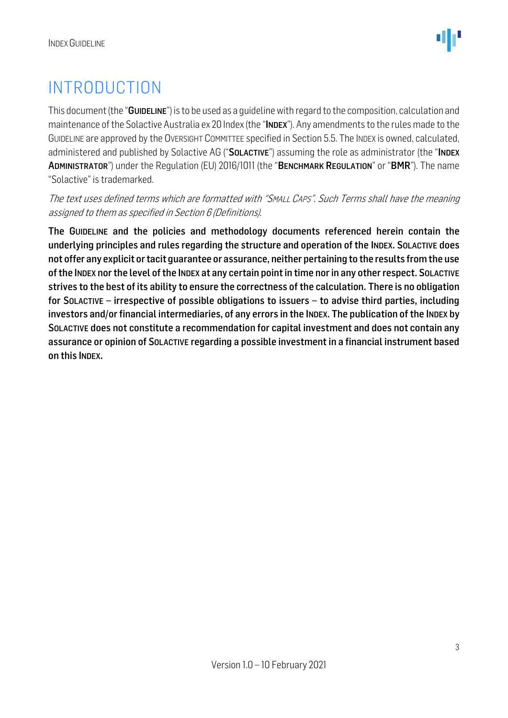### <span id="page-2-0"></span>INTRODUCTION

This document (the "GUIDELINE") is to be used as a quideline with regard to the composition, calculation and maintenance of the Solactive Australia ex 20 Index (the "INDEX"). Any amendments to the rules made to the GUIDELINE are approved by the OVERSIGHT COMMITTEE specified in Section 5.5. The INDEX is owned, calculated, administered and published by Solactive AG ("SOLACTIVE") assuming the role as administrator (the "INDEX ADMINISTRATOR") under the Regulation (EU) 2016/1011 (the "BENCHMARK REGULATION" or "BMR"). The name "Solactive" is trademarked.

The text uses defined terms which are formatted with "SMALL CAPS". Such Terms shall have the meaning assigned to them as specified in Section 6 (Definitions).

The GUIDELINE and the policies and methodology documents referenced herein contain the underlying principles and rules regarding the structure and operation of the INDEX. SOLACTIVE does not offer any explicit or tacit guarantee or assurance, neither pertaining to the results from the use ofthe INDEX nor the level of the INDEX at any certain point in time nor in any other respect. SOLACTIVE strives to the best of its ability to ensure the correctness of the calculation. There is no obligation for SOLACTIVE – irrespective of possible obligations to issuers – to advise third parties, including investors and/or financial intermediaries, of any errors in the INDEX. The publication of the INDEX by SOLACTIVE does not constitute a recommendation for capital investment and does not contain any assurance or opinion of SOLACTIVE regarding a possible investment in a financial instrument based on this INDEX.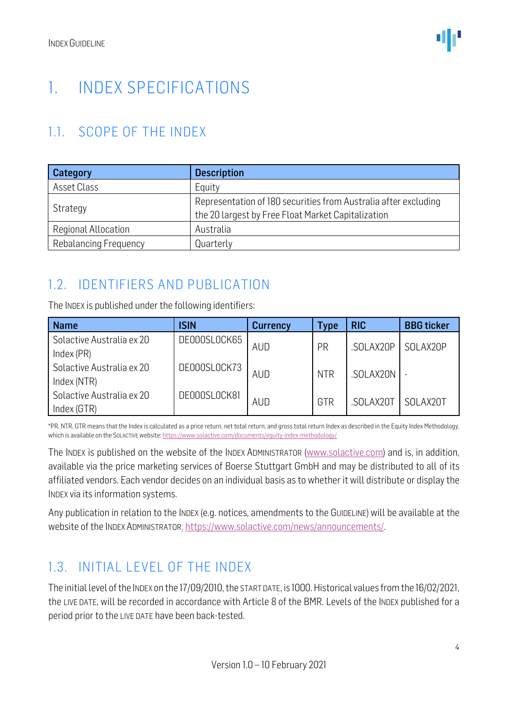### <span id="page-3-0"></span>1. INDEX SPECIFICATIONS

### <span id="page-3-1"></span>1.1. SCOPE OF THE INDEX

| Category                   | <b>Description</b>                                              |  |  |  |
|----------------------------|-----------------------------------------------------------------|--|--|--|
| Asset Class                | Equity                                                          |  |  |  |
|                            | Representation of 180 securities from Australia after excluding |  |  |  |
| Strategy                   | the 20 largest by Free Float Market Capitalization              |  |  |  |
| <b>Regional Allocation</b> | Australia                                                       |  |  |  |
| Rebalancing Frequency      | Quarterly                                                       |  |  |  |

### <span id="page-3-2"></span>1.2. IDENTIFIERS AND PUBLICATION

The INDEX is published under the following identifiers:

| <b>Name</b>                              | <b>ISIN</b>  | <b>Currency</b> | Type       | <b>RIC</b> | <b>BBG</b> ticker |
|------------------------------------------|--------------|-----------------|------------|------------|-------------------|
| Solactive Australia ex 20<br>Index (PR)  | DE000SL0CK65 | <b>AUD</b>      | PR         | .SOLAX20P  | SOLAX20P          |
| Solactive Australia ex 20<br>Index (NTR) | DE000SL0CK73 | <b>AUD</b>      | <b>NTR</b> | .SOLAX20N  |                   |
| Solactive Australia ex 20<br>Index (GTR) | DE000SL0CK81 | <b>AUD</b>      | GTR        | .SOLAX20T  | SOLAX20T          |

\*PR, NTR, GTR means that the Index is calculated as a price return, net total return, and gross total return Index as described in the Equity Index Methodology, which is available on the SOLACTIVE website[: https://www.solactive.com/documents/equity-index-methodology/](https://www.solactive.com/documents/equity-index-methodology/)

The INDEX is published on the website of the INDEX ADMINISTRATOR [\(www.solactive.com\)](http://www.solactive.com/) and is, in addition, available via the price marketing services of Boerse Stuttgart GmbH and may be distributed to all of its affiliated vendors. Each vendor decides on an individual basis as to whether it will distribute or display the INDEX via its information systems.

Any publication in relation to the INDEX (e.g. notices, amendments to the GUIDELINE) will be available at the website of the INDEX ADMINISTRATOR: [https://www.solactive.com/news/announcements/.](https://www.solactive.com/news/announcements/)

### <span id="page-3-3"></span>1.3. INITIAL LEVEL OF THE INDEX

The initial level of the INDEX on the 17/09/2010, the START DATE, is 1000. Historical values from the 16/02/2021, the LIVE DATE, will be recorded in accordance with Article 8 of the BMR. Levels of the INDEX published for a period prior to the LIVE DATE have been back-tested.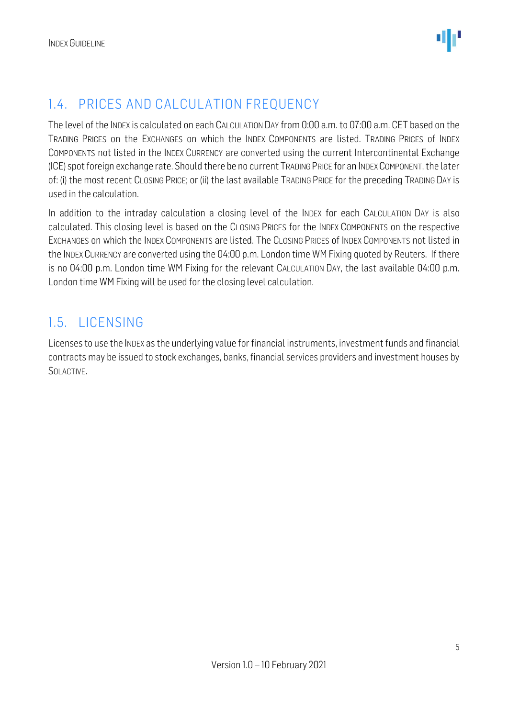### <span id="page-4-0"></span>1.4. PRICES AND CALCULATION FREQUENCY

The level of the INDEX is calculated on each CALCULATION DAY from 0:00 a.m. to 07:00 a.m. CET based on the TRADING PRICES on the EXCHANGES on which the INDEX COMPONENTS are listed. TRADING PRICES of INDEX COMPONENTS not listed in the INDEX CURRENCY are converted using the current Intercontinental Exchange (ICE) spot foreign exchange rate. Should there be no current TRADING PRICE for an INDEXCOMPONENT, the later of: (i) the most recent CLOSING PRICE; or (ii) the last available TRADING PRICE for the preceding TRADING DAY is used in the calculation.

In addition to the intraday calculation a closing level of the INDEX for each CALCULATION DAY is also calculated. This closing level is based on the CLOSING PRICES for the INDEX COMPONENTS on the respective EXCHANGES on which the INDEX COMPONENTS are listed. The CLOSING PRICES of INDEX COMPONENTS not listed in the INDEX CURRENCY are converted using the 04:00 p.m. London time WM Fixing quoted by Reuters. If there is no 04:00 p.m. London time WM Fixing for the relevant CALCULATION DAY, the last available 04:00 p.m. London time WM Fixing will be used for the closing level calculation.

#### <span id="page-4-1"></span>1.5. LICENSING

Licenses to use the INDEX as the underlying value for financial instruments, investment funds and financial contracts may be issued to stock exchanges, banks, financial services providers and investment houses by SOLACTIVE.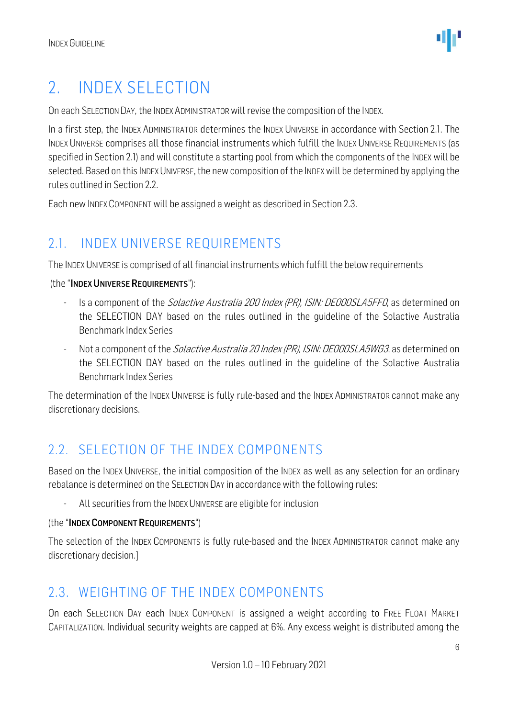### <span id="page-5-0"></span>2. INDEX SELECTION

On each SELECTION DAY, the INDEX ADMINISTRATORwill revise the composition of the INDEX.

In a first step, the INDEX ADMINISTRATOR determines the INDEX UNIVERSE in accordance with Section 2.1. The INDEX UNIVERSE comprises all those financial instruments which fulfill the INDEX UNIVERSE REQUIREMENTS (as specified in Section 2.1) and will constitute a starting pool from which the components of the INDEX will be selected. Based on this INDEX UNIVERSE, the new composition of the INDEX will be determined by applying the rules outlined in Section 2.2.

Each new INDEX COMPONENT will be assigned a weight as described in Section 2.3.

### <span id="page-5-1"></span>2.1. INDEX UNIVERSE REQUIREMENTS

The INDEX UNIVERSE is comprised of all financial instruments which fulfill the below requirements

(the "INDEX UNIVERSE REQUIREMENTS"):

- Is a component of the *Solactive Australia 200 Index (PR), ISIN: DE000SLA5FF0*, as determined on the SELECTION DAY based on the rules outlined in the guideline of the Solactive Australia Benchmark Index Series
- Not a component of the *Solactive Australia 20 Index (PR), ISIN: DE000SLA5WG3*, as determined on the SELECTION DAY based on the rules outlined in the guideline of the Solactive Australia Benchmark Index Series

The determination of the INDEX UNIVERSE is fully rule-based and the INDEX ADMINISTRATOR cannot make any discretionary decisions.

#### <span id="page-5-2"></span>2.2. SELECTION OF THE INDEX COMPONENTS

Based on the INDEX UNIVERSE, the initial composition of the INDEX as well as any selection for an ordinary rebalance is determined on the SELECTION DAY in accordance with the following rules:

All securities from the INDEX UNIVERSE are eligible for inclusion

#### (the "INDEX COMPONENT REQUIREMENTS")

The selection of the INDEX COMPONENTS is fully rule-based and the INDEX ADMINISTRATOR cannot make any discretionary decision.]

#### <span id="page-5-3"></span>2.3. WEIGHTING OF THE INDEX COMPONENTS

On each SELECTION DAY each INDEX COMPONENT is assigned a weight according to FREE FLOAT MARKET CAPITALIZATION. Individual security weights are capped at 6%. Any excess weight is distributed among the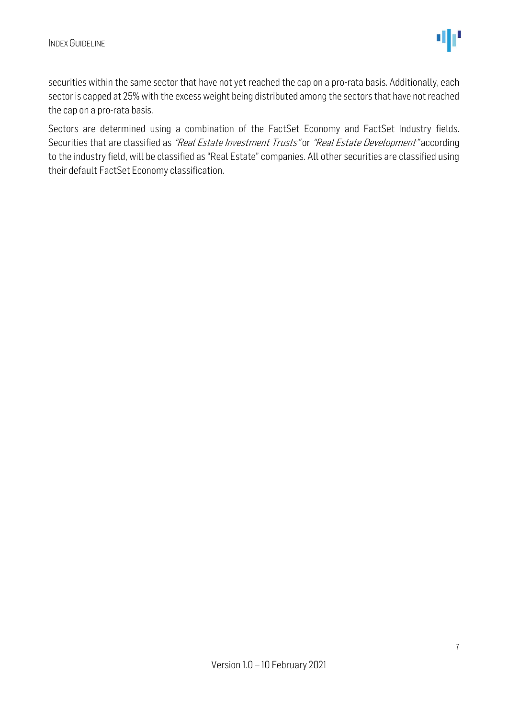securities within the same sector that have not yet reached the cap on a pro-rata basis. Additionally, each sector is capped at 25% with the excess weight being distributed among the sectors that have not reached the cap on a pro-rata basis.

Sectors are determined using a combination of the FactSet Economy and FactSet Industry fields. Securities that are classified as "Real Estate Investment Trusts" or "Real Estate Development" according to the industry field, will be classified as "Real Estate" companies. All other securities are classified using their default FactSet Economy classification.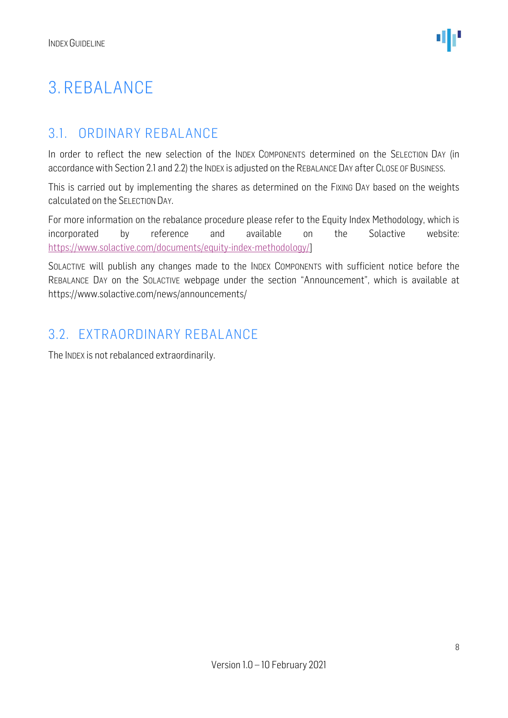### <span id="page-7-0"></span>3. REBALANCE

### <span id="page-7-1"></span>3.1. ORDINARY REBALANCE

In order to reflect the new selection of the INDEX COMPONENTS determined on the SELECTION DAY (in accordance with Section 2.1 and 2.2) the INDEX is adjusted on the REBALANCE DAY after CLOSE OF BUSINESS.

This is carried out by implementing the shares as determined on the FIXING DAY based on the weights calculated on the SELECTION DAY.

For more information on the rebalance procedure please refer to the Equity Index Methodology, which is incorporated by reference and available on the Solactive website: [https://www.solactive.com/documents/equity-index-methodology/\]](https://www.solactive.com/documents/equity-index-methodology/)

SOLACTIVE will publish any changes made to the INDEX COMPONENTS with sufficient notice before the REBALANCE DAY on the SOLACTIVE webpage under the section "Announcement", which is available at https://www.solactive.com/news/announcements/

#### <span id="page-7-2"></span>3.2. EXTRAORDINARY REBALANCE

The INDEX is not rebalanced extraordinarily.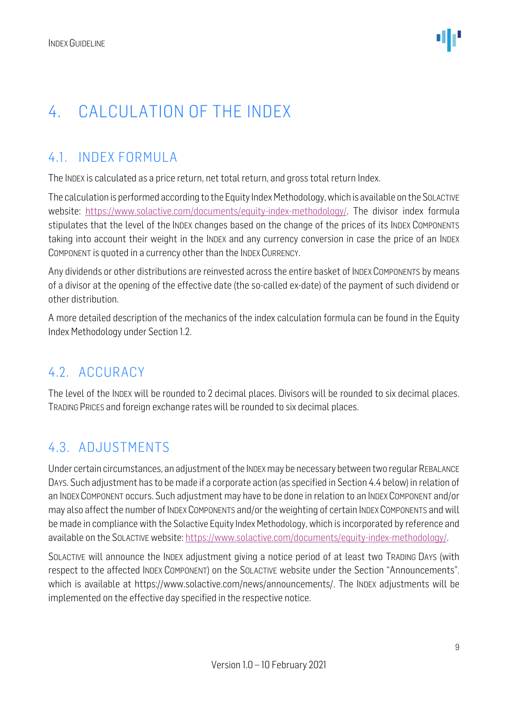### <span id="page-8-0"></span>4. CALCULATION OF THE INDEX

### <span id="page-8-1"></span>4.1. INDEX FORMULA

The INDEX is calculated as a price return, net total return, and gross total return Index.

The calculation is performed according to the Equity Index Methodology, which is available on the SOLACTIVE website: [https://www.solactive.com/documents/equity-index-methodology/.](https://www.solactive.com/documents/equity-index-methodology/) The divisor index formula stipulates that the level of the INDEX changes based on the change of the prices of its INDEX COMPONENTS taking into account their weight in the INDEX and any currency conversion in case the price of an INDEX COMPONENT is quoted in a currency other than the INDEX CURRENCY.

Any dividends or other distributions are reinvested across the entire basket of INDEX COMPONENTS by means of a divisor at the opening of the effective date (the so-called ex-date) of the payment of such dividend or other distribution.

A more detailed description of the mechanics of the index calculation formula can be found in the Equity Index Methodology under Section 1.2.

### <span id="page-8-2"></span>4.2. ACCURACY

The level of the INDEX will be rounded to 2 decimal places. Divisors will be rounded to six decimal places. TRADING PRICES and foreign exchange rates will be rounded to six decimal places.

### <span id="page-8-3"></span>4.3. ADJUSTMENTS

Under certain circumstances, an adjustment of the INDEXmay be necessary between two regular REBALANCE DAYS. Such adjustment has to be made if a corporate action (as specified in Section 4.4 below) in relation of an INDEX COMPONENT occurs. Such adjustment may have to be done in relation to an INDEX COMPONENT and/or may also affect the number of INDEX COMPONENTS and/or the weighting of certain INDEX COMPONENTS and will be made in compliance with the Solactive Equity Index Methodology, which is incorporated by reference and available on the SOLACTIVE website: [https://www.solactive.com/documents/equity-index-methodology/.](https://www.solactive.com/documents/equity-index-methodology/)

SOLACTIVE will announce the INDEX adjustment giving a notice period of at least two TRADING DAYS (with respect to the affected INDEX COMPONENT) on the SOLACTIVE website under the Section "Announcements", which is available at https://www.solactive.com/news/announcements/. The INDEX adjustments will be implemented on the effective day specified in the respective notice.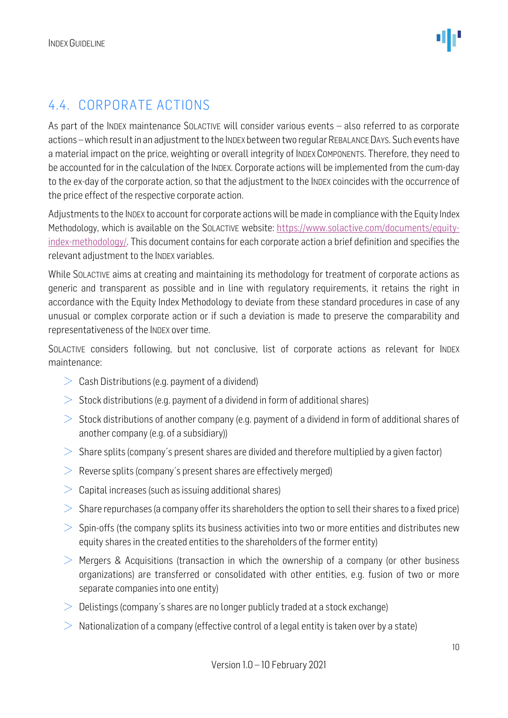### <span id="page-9-0"></span>4.4. CORPORATE ACTIONS

As part of the INDEX maintenance SOLACTIVE will consider various events – also referred to as corporate actions –which result in an adjustment to the INDEX between two regular REBALANCE DAYS. Such events have a material impact on the price, weighting or overall integrity of INDEX COMPONENTS. Therefore, they need to be accounted for in the calculation of the INDEX. Corporate actions will be implemented from the cum-day to the ex-day of the corporate action, so that the adjustment to the INDEX coincides with the occurrence of the price effect of the respective corporate action.

Adjustments to the INDEX to account for corporate actions will be made in compliance with the Equity Index Methodology, which is available on the SOLACTIVE website: [https://www.solactive.com/documents/equity](https://www.solactive.com/documents/equity-index-methodology/)[index-methodology/.](https://www.solactive.com/documents/equity-index-methodology/) This document contains for each corporate action a brief definition and specifies the relevant adjustment to the INDEX variables.

While SOLACTIVE aims at creating and maintaining its methodology for treatment of corporate actions as generic and transparent as possible and in line with regulatory requirements, it retains the right in accordance with the Equity Index Methodology to deviate from these standard procedures in case of any unusual or complex corporate action or if such a deviation is made to preserve the comparability and representativeness of the INDEX over time.

SOLACTIVE considers following, but not conclusive, list of corporate actions as relevant for INDEX maintenance:

- $\geq$  Cash Distributions (e.g. payment of a dividend)
- $>$  Stock distributions (e.g. payment of a dividend in form of additional shares)
- $>$  Stock distributions of another company (e.g. payment of a dividend in form of additional shares of another company (e.g. of a subsidiary))
- $>$  Share splits (company's present shares are divided and therefore multiplied by a given factor)
- $\geq$  Reverse splits (company's present shares are effectively merged)
- $>$  Capital increases (such as issuing additional shares)
- $>$  Share repurchases (a company offer its shareholders the option to sell their shares to a fixed price)
- $>$  Spin-offs (the company splits its business activities into two or more entities and distributes new equity shares in the created entities to the shareholders of the former entity)
- $>$  Mergers & Acquisitions (transaction in which the ownership of a company (or other business organizations) are transferred or consolidated with other entities, e.g. fusion of two or more separate companies into one entity)
- $\geq$  Delistings (company's shares are no longer publicly traded at a stock exchange)
- $\geq$  Nationalization of a company (effective control of a legal entity is taken over by a state)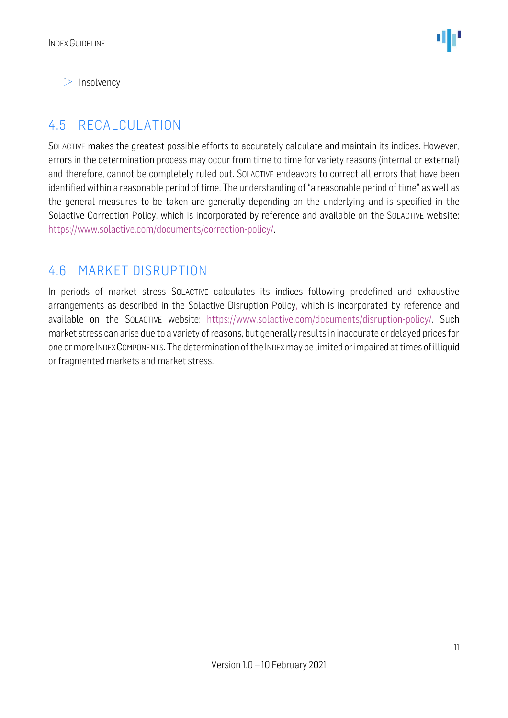$>$  Insolvency

### <span id="page-10-0"></span>4.5. RECALCULATION

SOLACTIVE makes the greatest possible efforts to accurately calculate and maintain its indices. However, errors in the determination process may occur from time to time for variety reasons (internal or external) and therefore, cannot be completely ruled out. SOLACTIVE endeavors to correct all errors that have been identified within a reasonable period of time. The understanding of "a reasonable period of time" as well as the general measures to be taken are generally depending on the underlying and is specified in the Solactive Correction Policy, which is incorporated by reference and available on the SOLACTIVE website: [https://www.solactive.com/documents/correction-policy/.](https://www.solactive.com/documents/correction-policy/)

#### <span id="page-10-1"></span>4.6. MARKET DISRUPTION

In periods of market stress SOLACTIVE calculates its indices following predefined and exhaustive arrangements as described in the Solactive Disruption Policy, which is incorporated by reference and available on the SOLACTIVE website: [https://www.solactive.com/documents/disruption-policy/.](https://www.solactive.com/documents/disruption-policy/) Such market stress can arise due to a variety of reasons, but generally results in inaccurate or delayed prices for one or more INDEXCOMPONENTS. The determination of the INDEXmay be limited or impaired at times of illiquid or fragmented markets and market stress.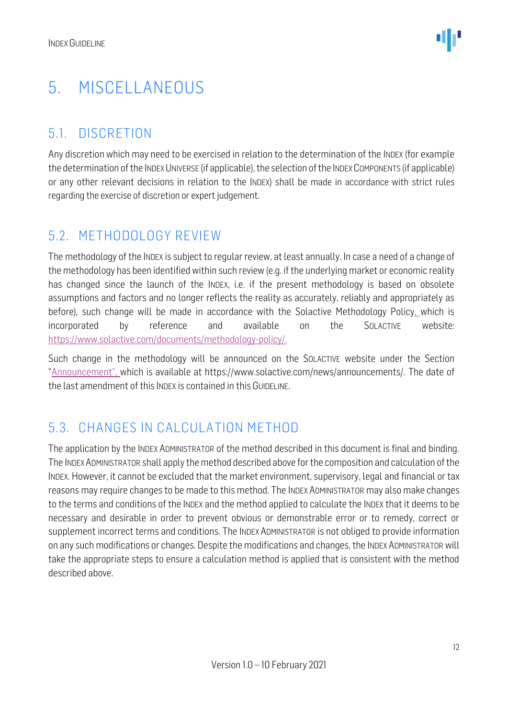### <span id="page-11-0"></span>5. MISCELLANEOUS

### <span id="page-11-1"></span>5.1. DISCRETION

Any discretion which may need to be exercised in relation to the determination of the INDEX (for example the determination of the INDEX UNIVERSE (if applicable), the selection of the INDEX COMPONENTS (if applicable) or any other relevant decisions in relation to the INDEX) shall be made in accordance with strict rules regarding the exercise of discretion or expert judgement.

#### <span id="page-11-2"></span>5.2. METHODOLOGY REVIEW

The methodology of the INDEX is subject to regular review, at least annually. In case a need of a change of the methodology has been identified within such review (e.g. if the underlying market or economic reality has changed since the launch of the INDEX, i.e. if the present methodology is based on obsolete assumptions and factors and no longer reflects the reality as accurately, reliably and appropriately as before), such change will be made in accordance with the Solactive Methodology Policy, which is incorporated by reference and available on the SOLACTIVE website: [https://www.solactive.com/documents/methodology-policy/.](https://www.solactive.com/documents/methodology-policy/)

Such change in the methodology will be announced on the SOLACTIVE website under the Section "Announcement", which is available at https://www.solactive.com/news/announcements/. The date of the last amendment of this INDEX is contained in this GUIDELINE.

### <span id="page-11-3"></span>5.3. CHANGES IN CALCULATION METHOD

The application by the INDEX ADMINISTRATOR of the method described in this document is final and binding. The INDEXADMINISTRATOR shall apply the method described above for the composition and calculation of the INDEX. However, it cannot be excluded that the market environment, supervisory, legal and financial or tax reasons may require changes to be made to this method. The INDEX ADMINISTRATOR may also make changes to the terms and conditions of the INDEX and the method applied to calculate the INDEX that it deems to be necessary and desirable in order to prevent obvious or demonstrable error or to remedy, correct or supplement incorrect terms and conditions. The INDEX ADMINISTRATOR is not obliged to provide information on any such modifications or changes. Despite the modifications and changes, the INDEX ADMINISTRATOR will take the appropriate steps to ensure a calculation method is applied that is consistent with the method described above.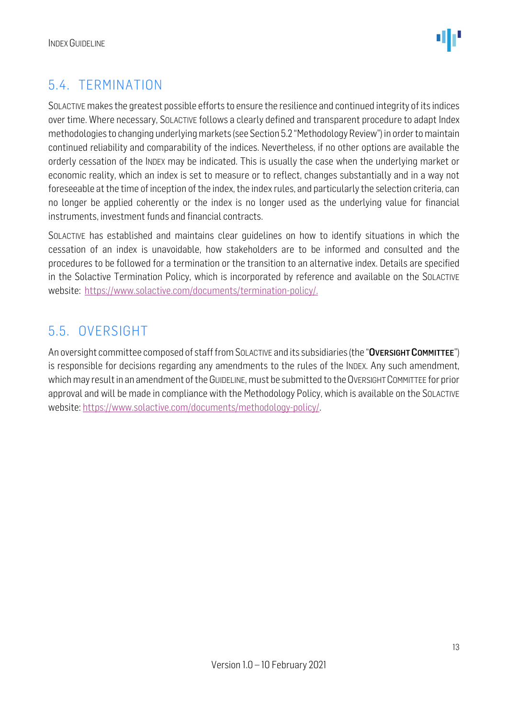

### <span id="page-12-0"></span>5.4. TERMINATION

SOLACTIVE makes the greatest possible efforts to ensure the resilience and continued integrity of its indices over time. Where necessary, SOLACTIVE follows a clearly defined and transparent procedure to adapt Index methodologies to changing underlying markets (see Section 5.2 "Methodology Review") in order to maintain continued reliability and comparability of the indices. Nevertheless, if no other options are available the orderly cessation of the INDEX may be indicated. This is usually the case when the underlying market or economic reality, which an index is set to measure or to reflect, changes substantially and in a way not foreseeable at the time of inception of the index, the index rules, and particularly the selection criteria, can no longer be applied coherently or the index is no longer used as the underlying value for financial instruments, investment funds and financial contracts.

SOLACTIVE has established and maintains clear guidelines on how to identify situations in which the cessation of an index is unavoidable, how stakeholders are to be informed and consulted and the procedures to be followed for a termination or the transition to an alternative index. Details are specified in the Solactive Termination Policy, which is incorporated by reference and available on the SOLACTIVE website: [https://www.solactive.com/documents/termination-policy/.](https://www.solactive.com/documents/termination-policy/)

### <span id="page-12-1"></span>5.5. OVERSIGHT

An oversight committee composed of staff from SOLACTIVE and its subsidiaries (the "OVERSIGHT COMMITTEE") is responsible for decisions regarding any amendments to the rules of the INDEX. Any such amendment, which may result in an amendment of the GUIDELINE, must be submitted to the OVERSIGHT COMMITTEE for prior approval and will be made in compliance with the [Methodology](http://methodology/) Policy, which is available on the SOLACTIVE website: [https://www.solactive.com/documents/methodology-policy/.](https://www.solactive.com/documents/methodology-policy/)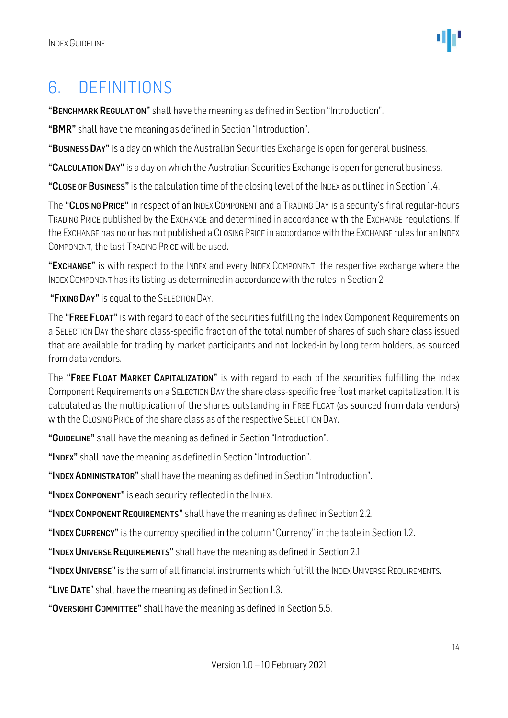### <span id="page-13-0"></span>6. DEFINITIONS

"BENCHMARK REGULATION" shall have the meaning as defined in Section "Introduction".

"BMR" shall have the meaning as defined in Section "Introduction".

"BUSINESS DAY" is a day on which the Australian Securities Exchange is open for general business.

"CALCULATION DAY" is a day on which the Australian Securities Exchange is open for general business.

"CLOSE OF BUSINESS" is the calculation time of the closing level of the INDEX as outlined in Section 1.4.

The "CLOSING PRICE" in respect of an INDEX COMPONENT and a TRADING DAY is a security's final regular-hours TRADING PRICE published by the EXCHANGE and determined in accordance with the EXCHANGE regulations. If the EXCHANGE has no or has not published a CLOSING PRICE in accordance with the EXCHANGE rules for an INDEX COMPONENT, the last TRADING PRICE will be used.

"EXCHANGE" is with respect to the INDEX and every INDEX COMPONENT, the respective exchange where the INDEX COMPONENT has its listing as determined in accordance with the rules in Section 2.

"FIXING DAY" is equal to the SELECTION DAY.

The "FREE FLOAT" is with regard to each of the securities fulfilling the Index Component Requirements on a SELECTION DAY the share class-specific fraction of the total number of shares of such share class issued that are available for trading by market participants and not locked-in by long term holders, as sourced from data vendors.

The "FREE FLOAT MARKET CAPITALIZATION" is with regard to each of the securities fulfilling the Index Component Requirements on a SELECTION DAY the share class-specific free float market capitalization. It is calculated as the multiplication of the shares outstanding in FREE FLOAT (as sourced from data vendors) with the CLOSING PRICE of the share class as of the respective SELECTION DAY.

"GUIDELINE" shall have the meaning as defined in Section "Introduction".

"INDEX" shall have the meaning as defined in Section "Introduction".

"INDEX ADMINISTRATOR" shall have the meaning as defined in Section "Introduction".

"INDEX COMPONENT" is each security reflected in the INDEX.

"INDEX COMPONENT REQUIREMENTS" shall have the meaning as defined in Section 2.2.

"INDEX CURRENCY" is the currency specified in the column "Currency" in the table in Section 1.2.

"INDEX UNIVERSE REQUIREMENTS" shall have the meaning as defined in Section 2.1.

"INDEX UNIVERSE" is the sum of all financial instruments which fulfill the INDEX UNIVERSE REQUIREMENTS.

"LIVE DATE" shall have the meaning as defined in Section 1.3.

"OVERSIGHT COMMITTEE" shall have the meaning as defined in Section 5.5.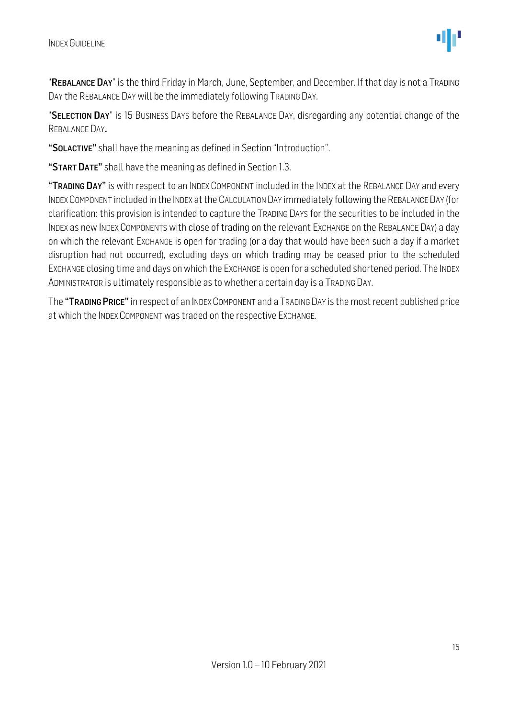"REBALANCE DAY" is the third Friday in March, June, September, and December. If that day is not a TRADING DAY the REBALANCE DAY will be the immediately following TRADING DAY.

"SELECTION DAY" is 15 BUSINESS DAYS before the REBALANCE DAY, disregarding any potential change of the REBALANCE DAY.

"SOLACTIVE" shall have the meaning as defined in Section "Introduction".

"START DATE" shall have the meaning as defined in Section 1.3.

"TRADING DAY" is with respect to an INDEX COMPONENT included in the INDEX at the REBALANCE DAY and every INDEXCOMPONENT included in the INDEX at the CALCULATION DAY immediately following the REBALANCE DAY (for clarification: this provision is intended to capture the TRADING DAYS for the securities to be included in the INDEX as new INDEX COMPONENTS with close of trading on the relevant EXCHANGE on the REBALANCE DAY) a day on which the relevant EXCHANGE is open for trading (or a day that would have been such a day if a market disruption had not occurred), excluding days on which trading may be ceased prior to the scheduled EXCHANGE closing time and days on which the EXCHANGE is open for a scheduled shortened period. The INDEX ADMINISTRATOR is ultimately responsible as to whether a certain day is a TRADING DAY.

The "TRADING PRICE" in respect of an INDEX COMPONENT and a TRADING DAY is the most recent published price at which the INDEX COMPONENT was traded on the respective EXCHANGE.